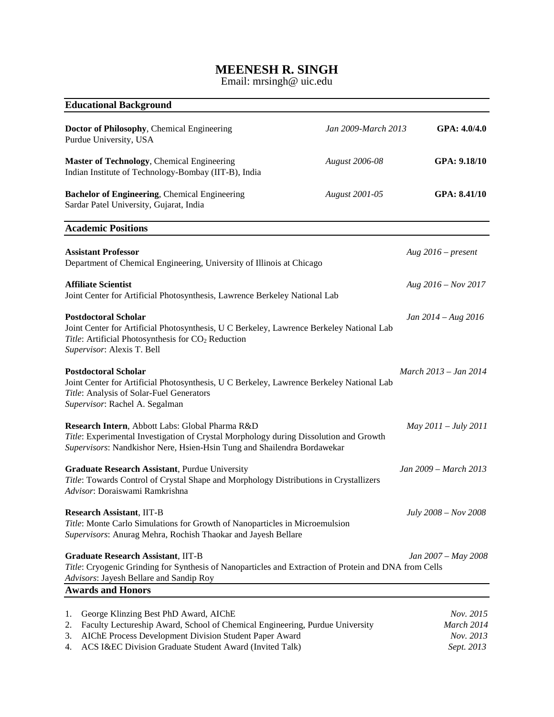# **MEENESH R. SINGH**

Email: mrsingh@ uic.edu

| <b>Educational Background</b>                                                                                                                                                                                                                                      |                       |                                                    |
|--------------------------------------------------------------------------------------------------------------------------------------------------------------------------------------------------------------------------------------------------------------------|-----------------------|----------------------------------------------------|
| Doctor of Philosophy, Chemical Engineering<br>Purdue University, USA                                                                                                                                                                                               | Jan 2009-March 2013   | GPA: 4.0/4.0                                       |
| Master of Technology, Chemical Engineering<br>Indian Institute of Technology-Bombay (IIT-B), India                                                                                                                                                                 | <b>August 2006-08</b> | GPA: 9.18/10                                       |
| Bachelor of Engineering, Chemical Engineering<br>Sardar Patel University, Gujarat, India                                                                                                                                                                           | <b>August 2001-05</b> | GPA: 8.41/10                                       |
| <b>Academic Positions</b>                                                                                                                                                                                                                                          |                       |                                                    |
| <b>Assistant Professor</b><br>Department of Chemical Engineering, University of Illinois at Chicago                                                                                                                                                                |                       | Aug $2016$ – present                               |
| <b>Affiliate Scientist</b><br>Joint Center for Artificial Photosynthesis, Lawrence Berkeley National Lab                                                                                                                                                           |                       | Aug $2016 - Nov 2017$                              |
| <b>Postdoctoral Scholar</b><br>Joint Center for Artificial Photosynthesis, U C Berkeley, Lawrence Berkeley National Lab<br>Title: Artificial Photosynthesis for CO <sub>2</sub> Reduction<br>Supervisor: Alexis T. Bell                                            |                       | Jan $2014 - Aug\ 2016$                             |
| <b>Postdoctoral Scholar</b><br>Joint Center for Artificial Photosynthesis, U C Berkeley, Lawrence Berkeley National Lab<br>Title: Analysis of Solar-Fuel Generators<br>Supervisor: Rachel A. Segalman                                                              |                       | March 2013 – Jan 2014                              |
| Research Intern, Abbott Labs: Global Pharma R&D<br>Title: Experimental Investigation of Crystal Morphology during Dissolution and Growth<br>Supervisors: Nandkishor Nere, Hsien-Hsin Tung and Shailendra Bordawekar                                                |                       | $May 2011 - July 2011$                             |
| Graduate Research Assistant, Purdue University<br>Title: Towards Control of Crystal Shape and Morphology Distributions in Crystallizers<br>Advisor: Doraiswami Ramkrishna                                                                                          |                       | Jan 2009 – March 2013                              |
| <b>Research Assistant, IIT-B</b><br>Title: Monte Carlo Simulations for Growth of Nanoparticles in Microemulsion<br>Supervisors: Anurag Mehra, Rochish Thaokar and Jayesh Bellare                                                                                   |                       | July 2008 - Nov 2008                               |
| <b>Graduate Research Assistant, IIT-B</b><br>Title: Cryogenic Grinding for Synthesis of Nanoparticles and Extraction of Protein and DNA from Cells<br>Advisors: Jayesh Bellare and Sandip Roy                                                                      |                       | Jan 2007 - May 2008                                |
| <b>Awards and Honors</b>                                                                                                                                                                                                                                           |                       |                                                    |
| George Klinzing Best PhD Award, AIChE<br>1.<br>2.<br>Faculty Lectureship Award, School of Chemical Engineering, Purdue University<br>AIChE Process Development Division Student Paper Award<br>3.<br>ACS I&EC Division Graduate Student Award (Invited Talk)<br>4. |                       | Nov. 2015<br>March 2014<br>Nov. 2013<br>Sept. 2013 |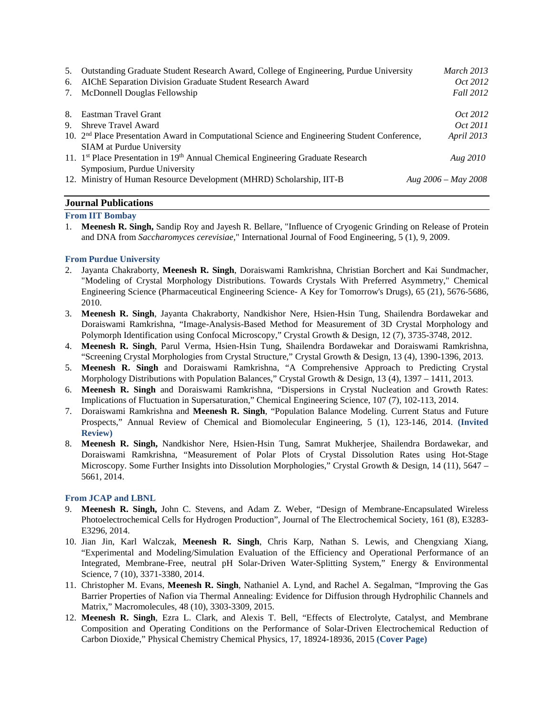| 5. | Outstanding Graduate Student Research Award, College of Engineering, Purdue University                                                        | <b>March 2013</b>     |
|----|-----------------------------------------------------------------------------------------------------------------------------------------------|-----------------------|
| 6. | AIChE Separation Division Graduate Student Research Award                                                                                     | <i>Oct</i> 2012       |
| 7. | McDonnell Douglas Fellowship                                                                                                                  | <b>Fall 2012</b>      |
| 8. | Eastman Travel Grant                                                                                                                          | <i>Oct</i> 2012       |
| 9. | Shreve Travel Award                                                                                                                           | <i>Oct</i> 2011       |
|    | 10. 2 <sup>nd</sup> Place Presentation Award in Computational Science and Engineering Student Conference,<br><b>SIAM</b> at Purdue University | <i>April</i> 2013     |
|    | 11. 1 <sup>st</sup> Place Presentation in 19 <sup>th</sup> Annual Chemical Engineering Graduate Research<br>Symposium, Purdue University      | Aug 2010              |
|    | 12. Ministry of Human Resource Development (MHRD) Scholarship, IIT-B                                                                          | Aug $2006 - May 2008$ |

# **Journal Publications**

# **From IIT Bombay**

1. **Meenesh R. Singh,** Sandip Roy and Jayesh R. Bellare, "Influence of Cryogenic Grinding on Release of Protein and DNA from *Saccharomyces cerevisiae*," International Journal of Food Engineering, 5 (1), 9, 2009.

## **From Purdue University**

- 2. Jayanta Chakraborty, **Meenesh R. Singh**, Doraiswami Ramkrishna, Christian Borchert and Kai Sundmacher, "Modeling of Crystal Morphology Distributions. Towards Crystals With Preferred Asymmetry," Chemical Engineering Science (Pharmaceutical Engineering Science- A Key for Tomorrow's Drugs), 65 (21), 5676-5686, 2010.
- 3. **Meenesh R. Singh**, Jayanta Chakraborty, Nandkishor Nere, Hsien-Hsin Tung, Shailendra Bordawekar and Doraiswami Ramkrishna, "Image-Analysis-Based Method for Measurement of 3D Crystal Morphology and Polymorph Identification using Confocal Microscopy," Crystal Growth & Design, 12 (7), 3735-3748, 2012.
- 4. **Meenesh R. Singh**, Parul Verma, Hsien-Hsin Tung, Shailendra Bordawekar and Doraiswami Ramkrishna, "Screening Crystal Morphologies from Crystal Structure," Crystal Growth & Design*,* 13 (4), 1390-1396, 2013.
- 5. **Meenesh R. Singh** and Doraiswami Ramkrishna, "A Comprehensive Approach to Predicting Crystal Morphology Distributions with Population Balances," Crystal Growth & Design*,* 13 (4), 1397 – 1411, 2013*.*
- 6. **Meenesh R. Singh** and Doraiswami Ramkrishna, "Dispersions in Crystal Nucleation and Growth Rates: Implications of Fluctuation in Supersaturation," Chemical Engineering Science, 107 (7), 102-113, 2014.
- 7. Doraiswami Ramkrishna and **Meenesh R. Singh**, "Population Balance Modeling. Current Status and Future Prospects," Annual Review of Chemical and Biomolecular Engineering, 5 (1), 123-146, 2014. **(Invited Review)**
- 8. **Meenesh R. Singh,** Nandkishor Nere, Hsien-Hsin Tung, Samrat Mukherjee, Shailendra Bordawekar, and Doraiswami Ramkrishna, "Measurement of Polar Plots of Crystal Dissolution Rates using Hot-Stage Microscopy. Some Further Insights into Dissolution Morphologies," Crystal Growth & Design, 14 (11), 5647 – 5661, 2014.

### **From JCAP and LBNL**

- 9. **Meenesh R. Singh,** John C. Stevens, and Adam Z. Weber, "Design of Membrane-Encapsulated Wireless Photoelectrochemical Cells for Hydrogen Production", Journal of The Electrochemical Society, 161 (8), E3283- E3296, 2014.
- 10. Jian Jin, Karl Walczak, **Meenesh R. Singh**, Chris Karp, Nathan S. Lewis, and Chengxiang Xiang, "Experimental and Modeling/Simulation Evaluation of the Efficiency and Operational Performance of an Integrated, Membrane-Free, neutral pH Solar-Driven Water-Splitting System," Energy & Environmental Science, 7 (10), 3371-3380, 2014.
- 11. Christopher M. Evans, **Meenesh R. Singh**, Nathaniel A. Lynd, and Rachel A. Segalman, "Improving the Gas Barrier Properties of Nafion via Thermal Annealing: Evidence for Diffusion through Hydrophilic Channels and Matrix," Macromolecules, 48 (10), 3303-3309, 2015.
- 12. **Meenesh R. Singh**, Ezra L. Clark, and Alexis T. Bell, "Effects of Electrolyte, Catalyst, and Membrane Composition and Operating Conditions on the Performance of Solar-Driven Electrochemical Reduction of Carbon Dioxide," Physical Chemistry Chemical Physics, 17, 18924-18936, 2015 **(Cover Page)**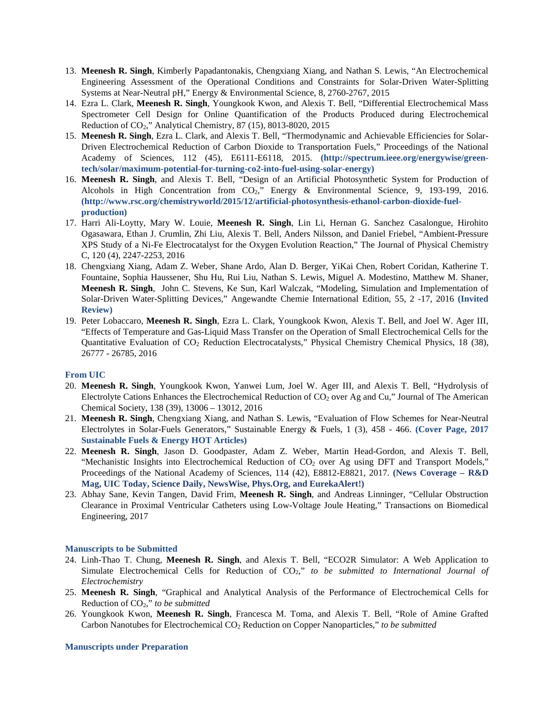- 13. **Meenesh R. Singh**, Kimberly Papadantonakis, Chengxiang Xiang, and Nathan S. Lewis, "An Electrochemical Engineering Assessment of the Operational Conditions and Constraints for Solar-Driven Water-Splitting Systems at Near-Neutral pH," Energy & Environmental Science, 8, 2760-2767, 2015
- 14. Ezra L. Clark, **Meenesh R. Singh**, Youngkook Kwon, and Alexis T. Bell, "Differential Electrochemical Mass Spectrometer Cell Design for Online Quantification of the Products Produced during Electrochemical Reduction of CO2," Analytical Chemistry, 87 (15), 8013-8020, 2015
- 15. **Meenesh R. Singh**, Ezra L. Clark, and Alexis T. Bell, "Thermodynamic and Achievable Efficiencies for Solar-Driven Electrochemical Reduction of Carbon Dioxide to Transportation Fuels," Proceedings of the National Academy of Sciences, 112 (45), E6111-E6118, 2015. **(http://spectrum.ieee.org/energywise/greentech/solar/maximum-potential-for-turning-co2-into-fuel-using-solar-energy)**
- 16. **Meenesh R. Singh**, and Alexis T. Bell, "Design of an Artificial Photosynthetic System for Production of Alcohols in High Concentration from CO<sub>2</sub>," Energy & Environmental Science, 9, 193-199, 2016. **(http://www.rsc.org/chemistryworld/2015/12/artificial-photosynthesis-ethanol-carbon-dioxide-fuelproduction)**
- 17. Harri Ali-Loytty, Mary W. Louie, **Meenesh R. Singh**, Lin Li, Hernan G. Sanchez Casalongue, Hirohito Ogasawara, Ethan J. Crumlin, Zhi Liu, Alexis T. Bell, Anders Nilsson, and Daniel Friebel, "Ambient-Pressure XPS Study of a Ni-Fe Electrocatalyst for the Oxygen Evolution Reaction," The Journal of Physical Chemistry C, 120 (4), 2247-2253, 2016
- 18. Chengxiang Xiang, Adam Z. Weber, Shane Ardo, Alan D. Berger, YiKai Chen, Robert Coridan, Katherine T. Fountaine, Sophia Haussener, Shu Hu, Rui Liu, Nathan S. Lewis, Miguel A. Modestino, Matthew M. Shaner, **Meenesh R. Singh**, John C. Stevens, Ke Sun, Karl Walczak, "Modeling, Simulation and Implementation of Solar-Driven Water-Splitting Devices," Angewandte Chemie International Edition, 55, 2 -17, 2016 **(Invited Review)**
- 19. Peter Lobaccaro, **Meenesh R. Singh**, Ezra L. Clark, Youngkook Kwon, Alexis T. Bell, and Joel W. Ager III, "Effects of Temperature and Gas-Liquid Mass Transfer on the Operation of Small Electrochemical Cells for the Quantitative Evaluation of CO2 Reduction Electrocatalysts," Physical Chemistry Chemical Physics, 18 (38), 26777 - 26785, 2016

### **From UIC**

- 20. **Meenesh R. Singh**, Youngkook Kwon, Yanwei Lum, Joel W. Ager III, and Alexis T. Bell, "Hydrolysis of Electrolyte Cations Enhances the Electrochemical Reduction of  $CO<sub>2</sub>$  over Ag and Cu," Journal of The American Chemical Society, 138 (39), 13006 – 13012, 2016
- 21. **Meenesh R. Singh**, Chengxiang Xiang, and Nathan S. Lewis, "Evaluation of Flow Schemes for Near-Neutral Electrolytes in Solar-Fuels Generators," Sustainable Energy & Fuels, 1 (3), 458 - 466. **(Cover Page, 2017 Sustainable Fuels & Energy HOT Articles)**
- 22. **Meenesh R. Singh**, Jason D. Goodpaster, Adam Z. Weber, Martin Head-Gordon, and Alexis T. Bell, "Mechanistic Insights into Electrochemical Reduction of  $CO<sub>2</sub>$  over Ag using DFT and Transport Models," Proceedings of the National Academy of Sciences, 114 (42), E8812-E8821, 2017. **(News Coverage – R&D Mag, UIC Today, Science Daily, NewsWise, Phys.Org, and EurekaAlert!)**
- 23. Abhay Sane, Kevin Tangen, David Frim, **Meenesh R. Singh**, and Andreas Linninger, "Cellular Obstruction Clearance in Proximal Ventricular Catheters using Low-Voltage Joule Heating," Transactions on Biomedical Engineering, 2017

### **Manuscripts to be Submitted**

- 24. Linh-Thao T. Chung, **Meenesh R. Singh**, and Alexis T. Bell, "ECO2R Simulator: A Web Application to Simulate Electrochemical Cells for Reduction of CO<sub>2</sub>," to be submitted to International Journal of *Electrochemistry*
- 25. **Meenesh R. Singh**, "Graphical and Analytical Analysis of the Performance of Electrochemical Cells for Reduction of CO2," *to be submitted*
- 26. Youngkook Kwon, **Meenesh R. Singh**, Francesca M. Toma, and Alexis T. Bell, "Role of Amine Grafted Carbon Nanotubes for Electrochemical CO2 Reduction on Copper Nanoparticles," *to be submitted*

### **Manuscripts under Preparation**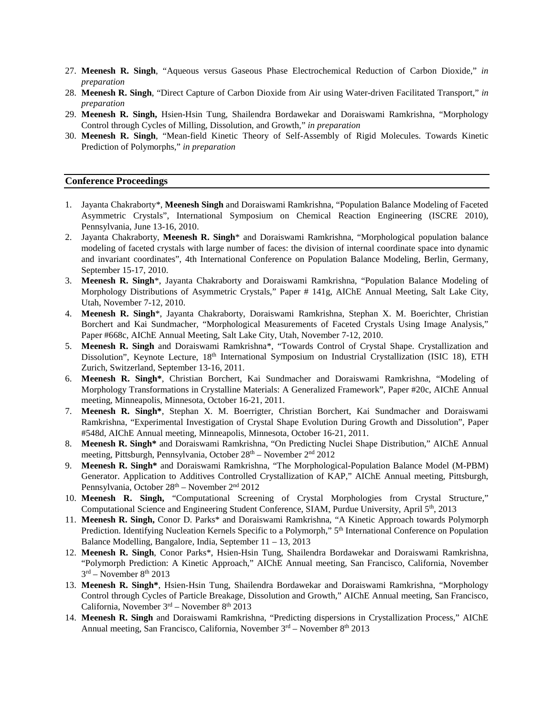- 27. **Meenesh R. Singh**, "Aqueous versus Gaseous Phase Electrochemical Reduction of Carbon Dioxide," *in preparation*
- 28. **Meenesh R. Singh**, "Direct Capture of Carbon Dioxide from Air using Water-driven Facilitated Transport," *in preparation*
- 29. **Meenesh R. Singh,** Hsien-Hsin Tung, Shailendra Bordawekar and Doraiswami Ramkrishna, "Morphology Control through Cycles of Milling, Dissolution, and Growth," *in preparation*
- 30. **Meenesh R. Singh**, "Mean-field Kinetic Theory of Self-Assembly of Rigid Molecules. Towards Kinetic Prediction of Polymorphs," *in preparation*

### **Conference Proceedings**

- 1. Jayanta Chakraborty\*, **Meenesh Singh** and Doraiswami Ramkrishna, "Population Balance Modeling of Faceted Asymmetric Crystals", International Symposium on Chemical Reaction Engineering (ISCRE 2010), Pennsylvania, June 13-16, 2010.
- 2. Jayanta Chakraborty, **Meenesh R. Singh**\* and Doraiswami Ramkrishna, "Morphological population balance modeling of faceted crystals with large number of faces: the division of internal coordinate space into dynamic and invariant coordinates", 4th International Conference on Population Balance Modeling, Berlin, Germany, September 15-17, 2010.
- 3. **Meenesh R. Singh**\*, Jayanta Chakraborty and Doraiswami Ramkrishna, "Population Balance Modeling of Morphology Distributions of Asymmetric Crystals," Paper # 141g, AIChE Annual Meeting, Salt Lake City, Utah, November 7-12, 2010.
- 4. **Meenesh R. Singh**\*, Jayanta Chakraborty, Doraiswami Ramkrishna, Stephan X. M. Boerichter, Christian Borchert and Kai Sundmacher, "Morphological Measurements of Faceted Crystals Using Image Analysis," Paper #668c, AIChE Annual Meeting, Salt Lake City, Utah, November 7-12, 2010.
- 5. **Meenesh R. Singh** and Doraiswami Ramkrishna\*, "Towards Control of Crystal Shape. Crystallization and Dissolution", Keynote Lecture, 18<sup>th</sup> International Symposium on Industrial Crystallization (ISIC 18), ETH Zurich, Switzerland, September 13-16, 2011.
- 6. **Meenesh R. Singh\***, Christian Borchert, Kai Sundmacher and Doraiswami Ramkrishna, "Modeling of Morphology Transformations in Crystalline Materials: A Generalized Framework", Paper #20c, AIChE Annual meeting, Minneapolis, Minnesota, October 16-21, 2011.
- 7. **Meenesh R. Singh\***, Stephan X. M. Boerrigter, Christian Borchert, Kai Sundmacher and Doraiswami Ramkrishna, "Experimental Investigation of Crystal Shape Evolution During Growth and Dissolution", Paper #548d, AIChE Annual meeting, Minneapolis, Minnesota, October 16-21, 2011.
- 8. **Meenesh R. Singh\*** and Doraiswami Ramkrishna, "On Predicting Nuclei Shape Distribution," AIChE Annual meeting, Pittsburgh, Pennsylvania, October 28th – November 2nd 2012
- 9. **Meenesh R. Singh\*** and Doraiswami Ramkrishna, "The Morphological-Population Balance Model (M-PBM) Generator. Application to Additives Controlled Crystallization of KAP," AIChE Annual meeting, Pittsburgh, Pennsylvania, October 28th – November 2nd 2012
- 10. **Meenesh R. Singh,** "Computational Screening of Crystal Morphologies from Crystal Structure," Computational Science and Engineering Student Conference, SIAM, Purdue University, April 5th, 2013
- 11. **Meenesh R. Singh,** Conor D. Parks\* and Doraiswami Ramkrishna, "A Kinetic Approach towards Polymorph Prediction. Identifying Nucleation Kernels Specific to a Polymorph," 5<sup>th</sup> International Conference on Population Balance Modelling, Bangalore, India, September 11 – 13, 2013
- 12. **Meenesh R. Singh**, Conor Parks\*, Hsien-Hsin Tung, Shailendra Bordawekar and Doraiswami Ramkrishna, "Polymorph Prediction: A Kinetic Approach," AIChE Annual meeting, San Francisco, California, November  $3<sup>rd</sup>$  – November  $8<sup>th</sup>$  2013
- 13. **Meenesh R. Singh\***, Hsien-Hsin Tung, Shailendra Bordawekar and Doraiswami Ramkrishna, "Morphology Control through Cycles of Particle Breakage, Dissolution and Growth," AIChE Annual meeting, San Francisco, California, November  $3<sup>rd</sup>$  – November  $8<sup>th</sup>$  2013
- 14. **Meenesh R. Singh** and Doraiswami Ramkrishna, "Predicting dispersions in Crystallization Process," AIChE Annual meeting, San Francisco, California, November  $3<sup>rd</sup>$  – November  $8<sup>th</sup>$  2013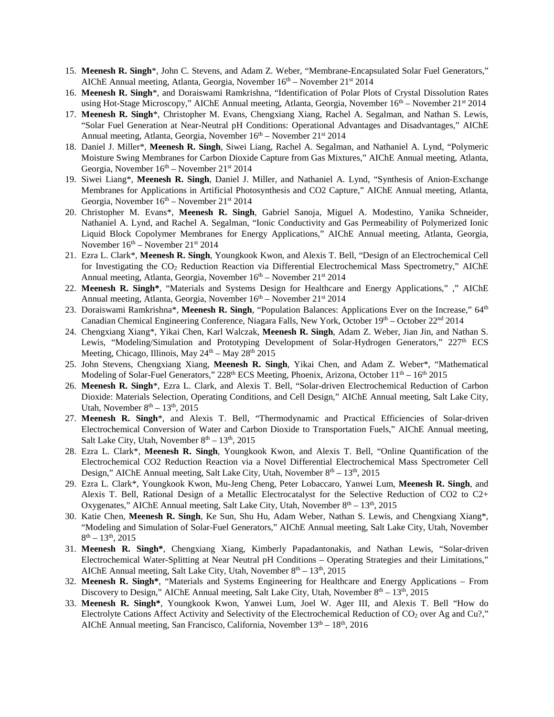- 15. **Meenesh R. Singh**\*, John C. Stevens, and Adam Z. Weber, "Membrane-Encapsulated Solar Fuel Generators," AIChE Annual meeting, Atlanta, Georgia, November  $16<sup>th</sup>$  – November  $21<sup>st</sup>$  2014
- 16. **Meenesh R. Singh**\*, and Doraiswami Ramkrishna, "Identification of Polar Plots of Crystal Dissolution Rates using Hot-Stage Microscopy," AIChE Annual meeting, Atlanta, Georgia, November 16<sup>th</sup> – November 21<sup>st</sup> 2014
- 17. **Meenesh R. Singh**\*, Christopher M. Evans, Chengxiang Xiang, Rachel A. Segalman, and Nathan S. Lewis, "Solar Fuel Generation at Near-Neutral pH Conditions: Operational Advantages and Disadvantages," AIChE Annual meeting, Atlanta, Georgia, November  $16<sup>th</sup>$  – November  $21<sup>st</sup> 2014$
- 18. Daniel J. Miller\*, **Meenesh R. Singh**, Siwei Liang, Rachel A. Segalman, and Nathaniel A. Lynd, "Polymeric Moisture Swing Membranes for Carbon Dioxide Capture from Gas Mixtures," AIChE Annual meeting, Atlanta, Georgia, November  $16<sup>th</sup>$  – November  $21<sup>st</sup> 2014$
- 19. Siwei Liang\*, **Meenesh R. Singh**, Daniel J. Miller, and Nathaniel A. Lynd, "Synthesis of Anion-Exchange Membranes for Applications in Artificial Photosynthesis and CO2 Capture," AIChE Annual meeting, Atlanta, Georgia, November  $16<sup>th</sup>$  – November  $21<sup>st</sup> 2014$
- 20. Christopher M. Evans\*, **Meenesh R. Singh**, Gabriel Sanoja, Miguel A. Modestino, Yanika Schneider, Nathaniel A. Lynd, and Rachel A. Segalman, "Ionic Conductivity and Gas Permeability of Polymerized Ionic Liquid Block Copolymer Membranes for Energy Applications," AIChE Annual meeting, Atlanta, Georgia, November  $16<sup>th</sup>$  – November  $21<sup>st</sup>$  2014
- 21. Ezra L. Clark\*, **Meenesh R. Singh**, Youngkook Kwon, and Alexis T. Bell, "Design of an Electrochemical Cell for Investigating the CO<sub>2</sub> Reduction Reaction via Differential Electrochemical Mass Spectrometry," AIChE Annual meeting, Atlanta, Georgia, November  $16<sup>th</sup>$  – November  $21<sup>st</sup> 2014$
- 22. **Meenesh R. Singh\***, "Materials and Systems Design for Healthcare and Energy Applications," ," AIChE Annual meeting, Atlanta, Georgia, November  $16<sup>th</sup>$  – November  $21<sup>st</sup> 2014$
- 23. Doraiswami Ramkrishna\*, **Meenesh R. Singh**, "Population Balances: Applications Ever on the Increase," 64th Canadian Chemical Engineering Conference, Niagara Falls, New York, October 19th - October 22nd 2014
- 24. Chengxiang Xiang\*, Yikai Chen, Karl Walczak, **Meenesh R. Singh**, Adam Z. Weber, Jian Jin, and Nathan S. Lewis, "Modeling/Simulation and Prototyping Development of Solar-Hydrogen Generators," 227<sup>th</sup> ECS Meeting, Chicago, Illinois, May  $24<sup>th</sup> -$  May  $28<sup>th</sup>$   $2015$
- 25. John Stevens, Chengxiang Xiang, **Meenesh R. Singh**, Yikai Chen, and Adam Z. Weber\*, "Mathematical Modeling of Solar-Fuel Generators,"  $228<sup>th</sup> ECS$  Meeting, Phoenix, Arizona, October  $11<sup>th</sup> - 16<sup>th</sup> 2015$
- 26. **Meenesh R. Singh**\*, Ezra L. Clark, and Alexis T. Bell, "Solar-driven Electrochemical Reduction of Carbon Dioxide: Materials Selection, Operating Conditions, and Cell Design," AIChE Annual meeting, Salt Lake City, Utah, November  $8<sup>th</sup> - 13<sup>th</sup>$ , 2015
- 27. **Meenesh R. Singh**\*, and Alexis T. Bell, "Thermodynamic and Practical Efficiencies of Solar-driven Electrochemical Conversion of Water and Carbon Dioxide to Transportation Fuels," AIChE Annual meeting, Salt Lake City, Utah, November  $8<sup>th</sup> - 13<sup>th</sup>$ , 2015
- 28. Ezra L. Clark\*, **Meenesh R. Singh**, Youngkook Kwon, and Alexis T. Bell, "Online Quantification of the Electrochemical CO2 Reduction Reaction via a Novel Differential Electrochemical Mass Spectrometer Cell Design," AIChE Annual meeting, Salt Lake City, Utah, November  $8<sup>th</sup> - 13<sup>th</sup>$ , 2015
- 29. Ezra L. Clark\*, Youngkook Kwon, Mu-Jeng Cheng, Peter Lobaccaro, Yanwei Lum, **Meenesh R. Singh**, and Alexis T. Bell, Rational Design of a Metallic Electrocatalyst for the Selective Reduction of CO2 to C2+ Oxygenates," AIChE Annual meeting, Salt Lake City, Utah, November  $8<sup>th</sup> - 13<sup>th</sup>$ , 2015
- 30. Katie Chen, **Meenesh R. Singh**, Ke Sun, Shu Hu, Adam Weber, Nathan S. Lewis, and Chengxiang Xiang\*, "Modeling and Simulation of Solar-Fuel Generators," AIChE Annual meeting, Salt Lake City, Utah, November  $8^{th} - 13^{th}$ , 2015
- 31. **Meenesh R. Singh\***, Chengxiang Xiang, Kimberly Papadantonakis, and Nathan Lewis, "Solar-driven Electrochemical Water-Splitting at Near Neutral pH Conditions – Operating Strategies and their Limitations," AIChE Annual meeting, Salt Lake City, Utah, November  $8<sup>th</sup> - 13<sup>th</sup>$ , 2015
- 32. **Meenesh R. Singh\***, "Materials and Systems Engineering for Healthcare and Energy Applications From Discovery to Design," AIChE Annual meeting, Salt Lake City, Utah, November  $8<sup>th</sup> - 13<sup>th</sup>$ , 2015
- 33. **Meenesh R. Singh\***, Youngkook Kwon, Yanwei Lum, Joel W. Ager III, and Alexis T. Bell "How do Electrolyte Cations Affect Activity and Selectivity of the Electrochemical Reduction of CO<sub>2</sub> over Ag and Cu?," AIChE Annual meeting, San Francisco, California, November  $13<sup>th</sup> - 18<sup>th</sup>$ , 2016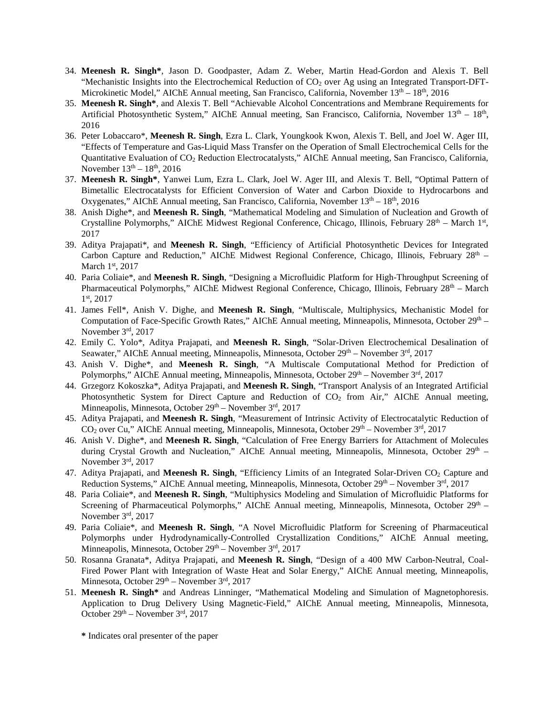- 34. **Meenesh R. Singh\***, Jason D. Goodpaster, Adam Z. Weber, Martin Head-Gordon and Alexis T. Bell "Mechanistic Insights into the Electrochemical Reduction of  $CO<sub>2</sub>$  over Ag using an Integrated Transport-DFT-Microkinetic Model," AIChE Annual meeting, San Francisco, California, November  $13<sup>th</sup> - 18<sup>th</sup>$ , 2016
- 35. **Meenesh R. Singh\***, and Alexis T. Bell "Achievable Alcohol Concentrations and Membrane Requirements for Artificial Photosynthetic System," AIChE Annual meeting, San Francisco, California, November 13<sup>th</sup> – 18<sup>th</sup>, 2016
- 36. Peter Lobaccaro\*, **Meenesh R. Singh**, Ezra L. Clark, Youngkook Kwon, Alexis T. Bell, and Joel W. Ager III, "Effects of Temperature and Gas-Liquid Mass Transfer on the Operation of Small Electrochemical Cells for the Quantitative Evaluation of CO2 Reduction Electrocatalysts," AIChE Annual meeting, San Francisco, California, November  $13^{th} - 18^{th}$ , 2016
- 37. **Meenesh R. Singh\***, Yanwei Lum, Ezra L. Clark, Joel W. Ager III, and Alexis T. Bell, "Optimal Pattern of Bimetallic Electrocatalysts for Efficient Conversion of Water and Carbon Dioxide to Hydrocarbons and Oxygenates," AIChE Annual meeting, San Francisco, California, November  $13<sup>th</sup> - 18<sup>th</sup>$ , 2016
- 38. Anish Dighe\*, and **Meenesh R. Singh**, "Mathematical Modeling and Simulation of Nucleation and Growth of Crystalline Polymorphs," AIChE Midwest Regional Conference, Chicago, Illinois, February  $28<sup>th</sup>$  – March  $1<sup>st</sup>$ , 2017
- 39. Aditya Prajapati\*, and **Meenesh R. Singh**, "Efficiency of Artificial Photosynthetic Devices for Integrated Carbon Capture and Reduction," AIChE Midwest Regional Conference, Chicago, Illinois, February  $28<sup>th</sup>$  – March  $1<sup>st</sup>$ , 2017
- 40. Paria Coliaie\*, and **Meenesh R. Singh**, "Designing a Microfluidic Platform for High-Throughput Screening of Pharmaceutical Polymorphs," AIChE Midwest Regional Conference, Chicago, Illinois, February 28<sup>th</sup> – March 1st, 2017
- 41. James Fell\*, Anish V. Dighe, and **Meenesh R. Singh**, "Multiscale, Multiphysics, Mechanistic Model for Computation of Face-Specific Growth Rates," AIChE Annual meeting, Minneapolis, Minnesota, October 29<sup>th</sup> – November 3rd, 2017
- 42. Emily C. Yolo\*, Aditya Prajapati, and **Meenesh R. Singh**, "Solar-Driven Electrochemical Desalination of Seawater," AIChE Annual meeting, Minneapolis, Minnesota, October  $29<sup>th</sup>$  – November  $3<sup>rd</sup>$ , 2017
- 43. Anish V. Dighe\*, and **Meenesh R. Singh**, "A Multiscale Computational Method for Prediction of Polymorphs," AIChE Annual meeting, Minneapolis, Minnesota, October  $29<sup>th</sup>$  – November  $3<sup>rd</sup>$ , 2017
- 44. Grzegorz Kokoszka\*, Aditya Prajapati, and **Meenesh R. Singh**, "Transport Analysis of an Integrated Artificial Photosynthetic System for Direct Capture and Reduction of  $CO<sub>2</sub>$  from Air," AIChE Annual meeting, Minneapolis, Minnesota, October  $29<sup>th</sup>$  – November  $3<sup>rd</sup>$ , 2017
- 45. Aditya Prajapati, and **Meenesh R. Singh**, "Measurement of Intrinsic Activity of Electrocatalytic Reduction of  $CO<sub>2</sub>$  over Cu," AIChE Annual meeting, Minneapolis, Minnesota, October 29<sup>th</sup> – November 3<sup>rd</sup>, 2017
- 46. Anish V. Dighe\*, and **Meenesh R. Singh**, "Calculation of Free Energy Barriers for Attachment of Molecules during Crystal Growth and Nucleation," AIChE Annual meeting, Minneapolis, Minnesota, October  $29<sup>th</sup>$  – November 3rd, 2017
- 47. Aditya Prajapati, and **Meenesh R. Singh**, "Efficiency Limits of an Integrated Solar-Driven CO2 Capture and Reduction Systems," AIChE Annual meeting, Minneapolis, Minnesota, October  $29^{th}$  – November  $3^{rd}$ , 2017
- 48. Paria Coliaie\*, and **Meenesh R. Singh**, "Multiphysics Modeling and Simulation of Microfluidic Platforms for Screening of Pharmaceutical Polymorphs," AIChE Annual meeting, Minneapolis, Minnesota, October 29<sup>th</sup> – November 3rd, 2017
- 49. Paria Coliaie\*, and **Meenesh R. Singh**, "A Novel Microfluidic Platform for Screening of Pharmaceutical Polymorphs under Hydrodynamically-Controlled Crystallization Conditions," AIChE Annual meeting, Minneapolis, Minnesota, October  $29<sup>th</sup>$  – November  $3<sup>rd</sup>$ , 2017
- 50. Rosanna Granata\*, Aditya Prajapati, and **Meenesh R. Singh**, "Design of a 400 MW Carbon-Neutral, Coal-Fired Power Plant with Integration of Waste Heat and Solar Energy," AIChE Annual meeting, Minneapolis, Minnesota, October  $29<sup>th</sup>$  – November  $3<sup>rd</sup>$ , 2017
- 51. **Meenesh R. Singh\*** and Andreas Linninger, "Mathematical Modeling and Simulation of Magnetophoresis. Application to Drug Delivery Using Magnetic-Field," AIChE Annual meeting, Minneapolis, Minnesota, October  $29<sup>th</sup>$  – November  $3<sup>rd</sup>$ , 2017

**<sup>\*</sup>** Indicates oral presenter of the paper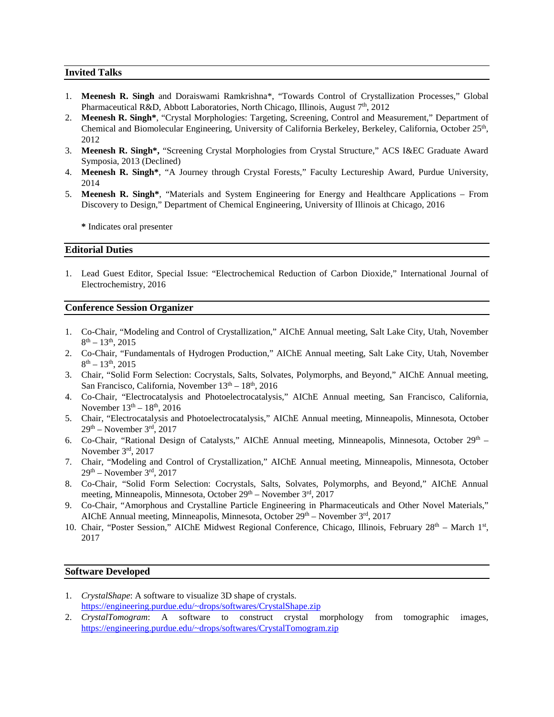# **Invited Talks**

- 1. **Meenesh R. Singh** and Doraiswami Ramkrishna\*, "Towards Control of Crystallization Processes," Global Pharmaceutical R&D, Abbott Laboratories, North Chicago, Illinois, August  $7<sup>th</sup>$ , 2012
- 2. **Meenesh R. Singh\***, "Crystal Morphologies: Targeting, Screening, Control and Measurement," Department of Chemical and Biomolecular Engineering, University of California Berkeley, Berkeley, California, October 25<sup>th</sup>, 2012
- 3. **Meenesh R. Singh\*,** "Screening Crystal Morphologies from Crystal Structure," ACS I&EC Graduate Award Symposia, 2013 (Declined)
- 4. **Meenesh R. Singh\***, "A Journey through Crystal Forests," Faculty Lectureship Award, Purdue University, 2014
- 5. **Meenesh R. Singh\***, "Materials and System Engineering for Energy and Healthcare Applications From Discovery to Design," Department of Chemical Engineering, University of Illinois at Chicago, 2016

**\*** Indicates oral presenter

# **Editorial Duties**

1. Lead Guest Editor, Special Issue: "Electrochemical Reduction of Carbon Dioxide," International Journal of Electrochemistry, 2016

## **Conference Session Organizer**

- 1. Co-Chair, "Modeling and Control of Crystallization," AIChE Annual meeting, Salt Lake City, Utah, November  $8^{th} - 13^{th}$ , 2015
- 2. Co-Chair, "Fundamentals of Hydrogen Production," AIChE Annual meeting, Salt Lake City, Utah, November  $8<sup>th</sup> - 13<sup>th</sup>$ , 2015
- 3. Chair, "Solid Form Selection: Cocrystals, Salts, Solvates, Polymorphs, and Beyond," AIChE Annual meeting, San Francisco, California, November  $13<sup>th</sup> - 18<sup>th</sup>$ , 2016
- 4. Co-Chair, "Electrocatalysis and Photoelectrocatalysis," AIChE Annual meeting, San Francisco, California, November  $13^{th} - 18^{th}$ , 2016
- 5. Chair, "Electrocatalysis and Photoelectrocatalysis," AIChE Annual meeting, Minneapolis, Minnesota, October  $29<sup>th</sup>$  – November  $3<sup>rd</sup>$ , 2017
- 6. Co-Chair, "Rational Design of Catalysts," AIChE Annual meeting, Minneapolis, Minnesota, October 29<sup>th</sup> November 3rd, 2017
- 7. Chair, "Modeling and Control of Crystallization," AIChE Annual meeting, Minneapolis, Minnesota, October  $29<sup>th</sup>$  – November  $3<sup>rd</sup>$ , 2017
- 8. Co-Chair, "Solid Form Selection: Cocrystals, Salts, Solvates, Polymorphs, and Beyond," AIChE Annual meeting, Minneapolis, Minnesota, October  $29<sup>th</sup>$  – November  $3<sup>rd</sup>$ , 2017
- 9. Co-Chair, "Amorphous and Crystalline Particle Engineering in Pharmaceuticals and Other Novel Materials," AIChE Annual meeting, Minneapolis, Minnesota, October  $29<sup>th</sup>$  – November  $3<sup>rd</sup>$ , 2017
- 10. Chair, "Poster Session," AIChE Midwest Regional Conference, Chicago, Illinois, February 28<sup>th</sup> March 1<sup>st</sup>, 2017

# **Software Developed**

- 1. *CrystalShape*: A software to visualize 3D shape of crystals. [https://engineering.purdue.edu/~drops/softwares/CrystalShape.zip](https://engineering.purdue.edu/%7Edrops/softwares/CrystalShape.zip)
- 2. *CrystalTomogram*: A software to construct crystal morphology from tomographic images, [https://engineering.purdue.edu/~drops/softwares/CrystalTomogram.zip](https://engineering.purdue.edu/%7Edrops/softwares/CrystalTomogram.zip)